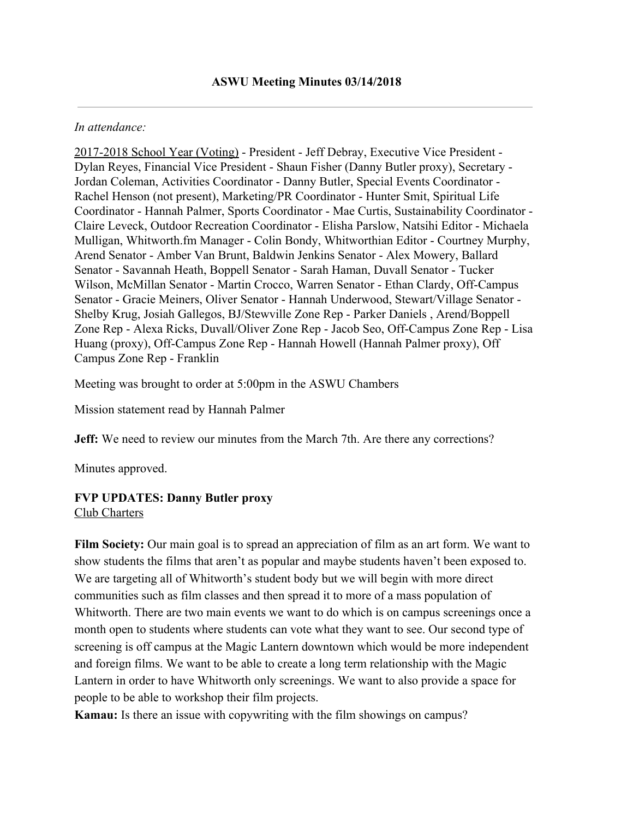#### *In attendance:*

2017-2018 School Year (Voting) - President - Jeff Debray, Executive Vice President - Dylan Reyes, Financial Vice President - Shaun Fisher (Danny Butler proxy), Secretary - Jordan Coleman, Activities Coordinator - Danny Butler, Special Events Coordinator - Rachel Henson (not present), Marketing/PR Coordinator - Hunter Smit, Spiritual Life Coordinator - Hannah Palmer, Sports Coordinator - Mae Curtis, Sustainability Coordinator - Claire Leveck, Outdoor Recreation Coordinator - Elisha Parslow, Natsihi Editor - Michaela Mulligan, Whitworth.fm Manager - Colin Bondy, Whitworthian Editor - Courtney Murphy, Arend Senator - Amber Van Brunt, Baldwin Jenkins Senator - Alex Mowery, Ballard Senator - Savannah Heath, Boppell Senator - Sarah Haman, Duvall Senator - Tucker Wilson, McMillan Senator - Martin Crocco, Warren Senator - Ethan Clardy, Off-Campus Senator - Gracie Meiners, Oliver Senator - Hannah Underwood, Stewart/Village Senator - Shelby Krug, Josiah Gallegos, BJ/Stewville Zone Rep - Parker Daniels , Arend/Boppell Zone Rep - Alexa Ricks, Duvall/Oliver Zone Rep - Jacob Seo, Off-Campus Zone Rep - Lisa Huang (proxy), Off-Campus Zone Rep - Hannah Howell (Hannah Palmer proxy), Off Campus Zone Rep - Franklin

Meeting was brought to order at 5:00pm in the ASWU Chambers

Mission statement read by Hannah Palmer

**Jeff:** We need to review our minutes from the March 7th. Are there any corrections?

Minutes approved.

#### **FVP UPDATES: Danny Butler proxy** Club Charters

**Film Society:** Our main goal is to spread an appreciation of film as an art form. We want to show students the films that aren't as popular and maybe students haven't been exposed to. We are targeting all of Whitworth's student body but we will begin with more direct communities such as film classes and then spread it to more of a mass population of Whitworth. There are two main events we want to do which is on campus screenings once a month open to students where students can vote what they want to see. Our second type of screening is off campus at the Magic Lantern downtown which would be more independent and foreign films. We want to be able to create a long term relationship with the Magic Lantern in order to have Whitworth only screenings. We want to also provide a space for people to be able to workshop their film projects.

**Kamau:** Is there an issue with copywriting with the film showings on campus?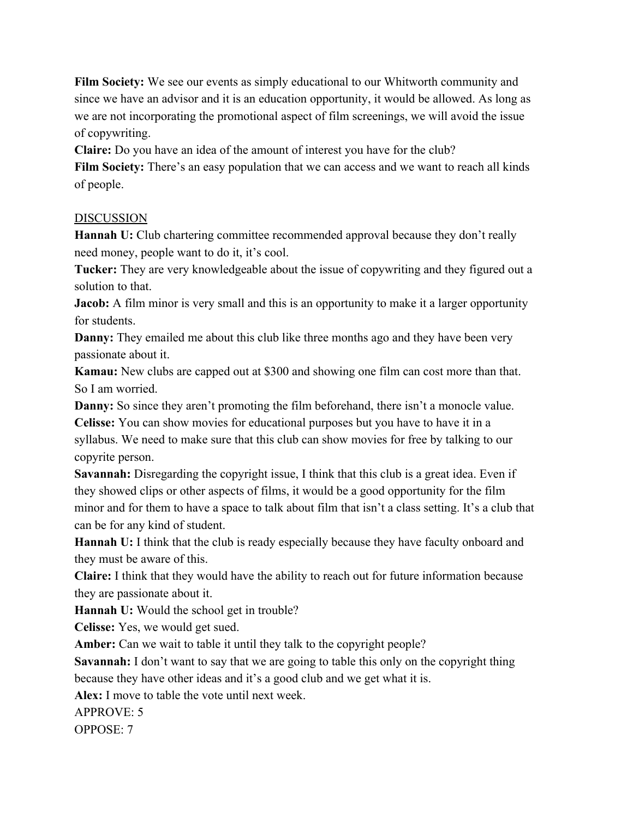**Film Society:** We see our events as simply educational to our Whitworth community and since we have an advisor and it is an education opportunity, it would be allowed. As long as we are not incorporating the promotional aspect of film screenings, we will avoid the issue of copywriting.

**Claire:** Do you have an idea of the amount of interest you have for the club?

Film Society: There's an easy population that we can access and we want to reach all kinds of people.

## DISCUSSION

**Hannah U:** Club chartering committee recommended approval because they don't really need money, people want to do it, it's cool.

**Tucker:** They are very knowledgeable about the issue of copywriting and they figured out a solution to that.

**Jacob:** A film minor is very small and this is an opportunity to make it a larger opportunity for students.

**Danny:** They emailed me about this club like three months ago and they have been very passionate about it.

**Kamau:** New clubs are capped out at \$300 and showing one film can cost more than that. So I am worried.

**Danny:** So since they aren't promoting the film beforehand, there isn't a monocle value. **Celisse:** You can show movies for educational purposes but you have to have it in a syllabus. We need to make sure that this club can show movies for free by talking to our copyrite person.

**Savannah:** Disregarding the copyright issue, I think that this club is a great idea. Even if they showed clips or other aspects of films, it would be a good opportunity for the film minor and for them to have a space to talk about film that isn't a class setting. It's a club that can be for any kind of student.

**Hannah U:** I think that the club is ready especially because they have faculty onboard and they must be aware of this.

**Claire:** I think that they would have the ability to reach out for future information because they are passionate about it.

**Hannah U:** Would the school get in trouble?

**Celisse:** Yes, we would get sued.

**Amber:** Can we wait to table it until they talk to the copyright people?

**Savannah:** I don't want to say that we are going to table this only on the copyright thing because they have other ideas and it's a good club and we get what it is.

**Alex:** I move to table the vote until next week.

APPROVE: 5

OPPOSE: 7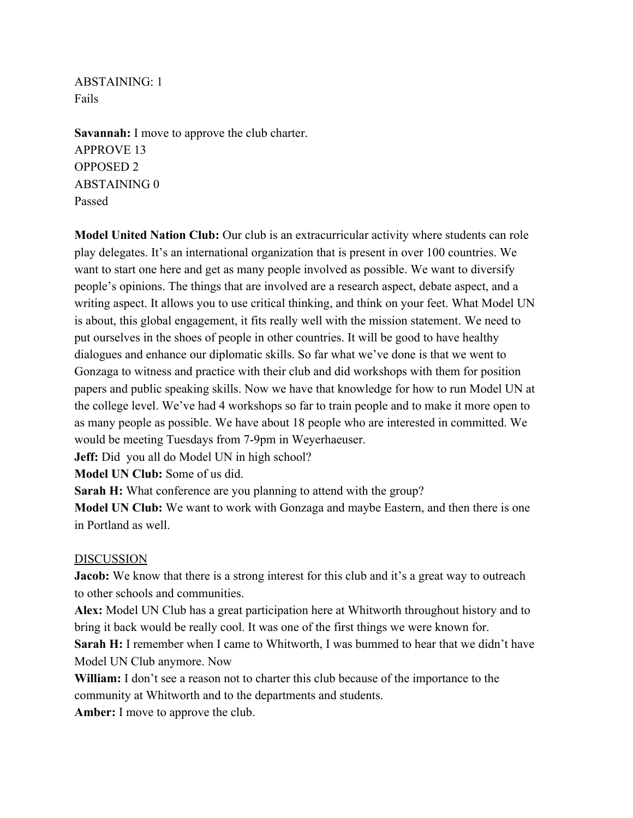ABSTAINING: 1 Fails

**Savannah:** I move to approve the club charter. APPROVE 13 OPPOSED 2 ABSTAINING 0 Passed

**Model United Nation Club:** Our club is an extracurricular activity where students can role play delegates. It's an international organization that is present in over 100 countries. We want to start one here and get as many people involved as possible. We want to diversify people's opinions. The things that are involved are a research aspect, debate aspect, and a writing aspect. It allows you to use critical thinking, and think on your feet. What Model UN is about, this global engagement, it fits really well with the mission statement. We need to put ourselves in the shoes of people in other countries. It will be good to have healthy dialogues and enhance our diplomatic skills. So far what we've done is that we went to Gonzaga to witness and practice with their club and did workshops with them for position papers and public speaking skills. Now we have that knowledge for how to run Model UN at the college level. We've had 4 workshops so far to train people and to make it more open to as many people as possible. We have about 18 people who are interested in committed. We would be meeting Tuesdays from 7-9pm in Weyerhaeuser.

**Jeff:** Did you all do Model UN in high school?

**Model UN Club:** Some of us did.

**Sarah H:** What conference are you planning to attend with the group?

**Model UN Club:** We want to work with Gonzaga and maybe Eastern, and then there is one in Portland as well.

### DISCUSSION

**Jacob:** We know that there is a strong interest for this club and it's a great way to outreach to other schools and communities.

**Alex:** Model UN Club has a great participation here at Whitworth throughout history and to bring it back would be really cool. It was one of the first things we were known for.

**Sarah H:** I remember when I came to Whitworth, I was bummed to hear that we didn't have Model UN Club anymore. Now

**William:** I don't see a reason not to charter this club because of the importance to the community at Whitworth and to the departments and students.

**Amber:** I move to approve the club.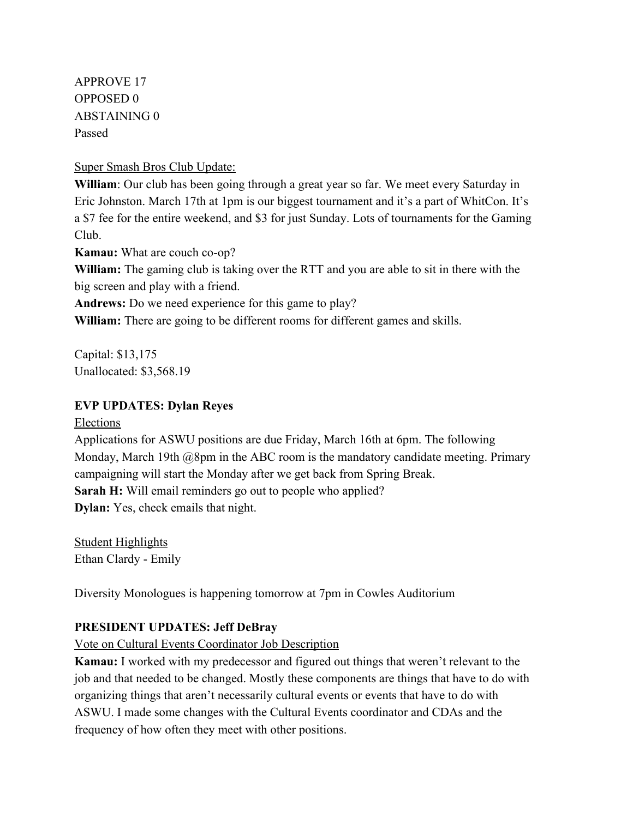APPROVE 17 OPPOSED 0 ABSTAINING 0 Passed

Super Smash Bros Club Update:

**William**: Our club has been going through a great year so far. We meet every Saturday in Eric Johnston. March 17th at 1pm is our biggest tournament and it's a part of WhitCon. It's a \$7 fee for the entire weekend, and \$3 for just Sunday. Lots of tournaments for the Gaming Club.

**Kamau:** What are couch co-op?

**William:** The gaming club is taking over the RTT and you are able to sit in there with the big screen and play with a friend.

**Andrews:** Do we need experience for this game to play?

**William:** There are going to be different rooms for different games and skills.

Capital: \$13,175 Unallocated: \$3,568.19

## **EVP UPDATES: Dylan Reyes**

Elections

Applications for ASWU positions are due Friday, March 16th at 6pm. The following Monday, March 19th @8pm in the ABC room is the mandatory candidate meeting. Primary campaigning will start the Monday after we get back from Spring Break. **Sarah H:** Will email reminders go out to people who applied? **Dylan:** Yes, check emails that night.

Student Highlights Ethan Clardy - Emily

Diversity Monologues is happening tomorrow at 7pm in Cowles Auditorium

# **PRESIDENT UPDATES: Jeff DeBray**

Vote on Cultural Events Coordinator Job Description

**Kamau:** I worked with my predecessor and figured out things that weren't relevant to the job and that needed to be changed. Mostly these components are things that have to do with organizing things that aren't necessarily cultural events or events that have to do with ASWU. I made some changes with the Cultural Events coordinator and CDAs and the frequency of how often they meet with other positions.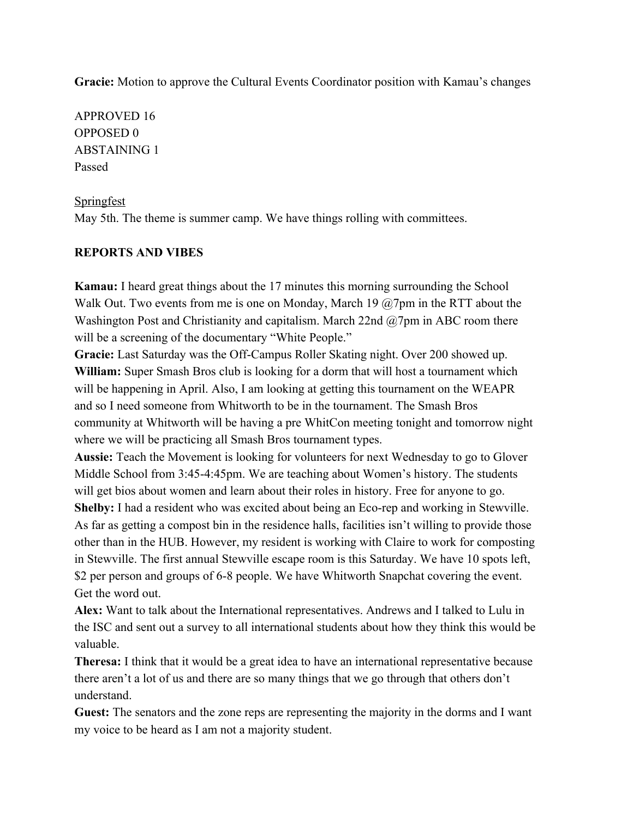**Gracie:** Motion to approve the Cultural Events Coordinator position with Kamau's changes

APPROVED 16 OPPOSED 0 ABSTAINING 1 Passed

## **Springfest**

May 5th. The theme is summer camp. We have things rolling with committees.

### **REPORTS AND VIBES**

**Kamau:** I heard great things about the 17 minutes this morning surrounding the School Walk Out. Two events from me is one on Monday, March 19  $@$ 7pm in the RTT about the Washington Post and Christianity and capitalism. March 22nd @7pm in ABC room there will be a screening of the documentary "White People."

**Gracie:** Last Saturday was the Off-Campus Roller Skating night. Over 200 showed up. **William:** Super Smash Bros club is looking for a dorm that will host a tournament which will be happening in April. Also, I am looking at getting this tournament on the WEAPR and so I need someone from Whitworth to be in the tournament. The Smash Bros community at Whitworth will be having a pre WhitCon meeting tonight and tomorrow night where we will be practicing all Smash Bros tournament types.

**Aussie:** Teach the Movement is looking for volunteers for next Wednesday to go to Glover Middle School from 3:45-4:45pm. We are teaching about Women's history. The students will get bios about women and learn about their roles in history. Free for anyone to go. **Shelby:** I had a resident who was excited about being an Eco-rep and working in Stewville. As far as getting a compost bin in the residence halls, facilities isn't willing to provide those other than in the HUB. However, my resident is working with Claire to work for composting in Stewville. The first annual Stewville escape room is this Saturday. We have 10 spots left, \$2 per person and groups of 6-8 people. We have Whitworth Snapchat covering the event.

Get the word out.

**Alex:** Want to talk about the International representatives. Andrews and I talked to Lulu in the ISC and sent out a survey to all international students about how they think this would be valuable.

**Theresa:** I think that it would be a great idea to have an international representative because there aren't a lot of us and there are so many things that we go through that others don't understand.

**Guest:** The senators and the zone reps are representing the majority in the dorms and I want my voice to be heard as I am not a majority student.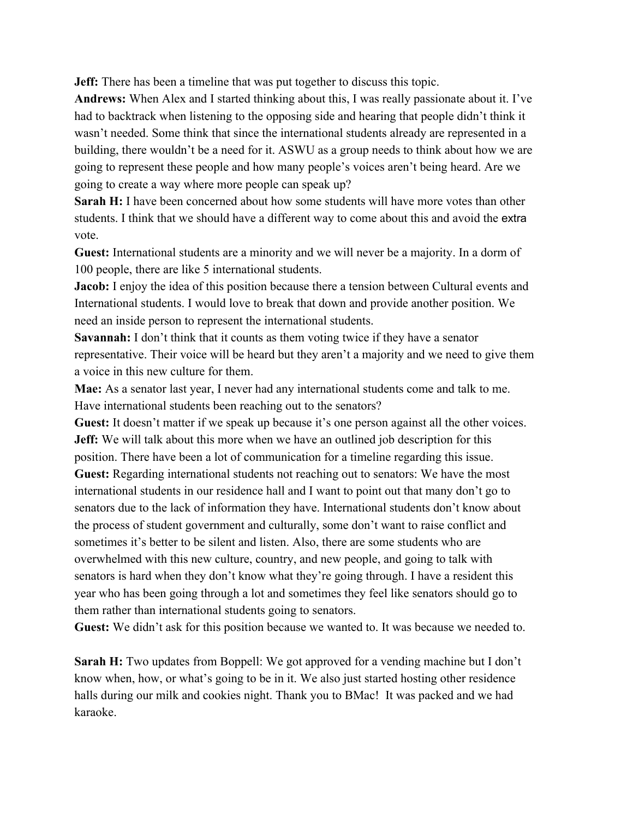**Jeff:** There has been a timeline that was put together to discuss this topic.

**Andrews:** When Alex and I started thinking about this, I was really passionate about it. I've had to backtrack when listening to the opposing side and hearing that people didn't think it wasn't needed. Some think that since the international students already are represented in a building, there wouldn't be a need for it. ASWU as a group needs to think about how we are going to represent these people and how many people's voices aren't being heard. Are we going to create a way where more people can speak up?

**Sarah H:** I have been concerned about how some students will have more votes than other students. I think that we should have a different way to come about this and avoid the extra vote.

**Guest:** International students are a minority and we will never be a majority. In a dorm of 100 people, there are like 5 international students.

**Jacob:** I enjoy the idea of this position because there a tension between Cultural events and International students. I would love to break that down and provide another position. We need an inside person to represent the international students.

**Savannah:** I don't think that it counts as them voting twice if they have a senator representative. Their voice will be heard but they aren't a majority and we need to give them a voice in this new culture for them.

**Mae:** As a senator last year, I never had any international students come and talk to me. Have international students been reaching out to the senators?

**Guest:** It doesn't matter if we speak up because it's one person against all the other voices. **Jeff:** We will talk about this more when we have an outlined job description for this position. There have been a lot of communication for a timeline regarding this issue. **Guest:** Regarding international students not reaching out to senators: We have the most international students in our residence hall and I want to point out that many don't go to senators due to the lack of information they have. International students don't know about the process of student government and culturally, some don't want to raise conflict and sometimes it's better to be silent and listen. Also, there are some students who are overwhelmed with this new culture, country, and new people, and going to talk with senators is hard when they don't know what they're going through. I have a resident this year who has been going through a lot and sometimes they feel like senators should go to them rather than international students going to senators.

**Guest:** We didn't ask for this position because we wanted to. It was because we needed to.

**Sarah H:** Two updates from Boppell: We got approved for a vending machine but I don't know when, how, or what's going to be in it. We also just started hosting other residence halls during our milk and cookies night. Thank you to BMac! It was packed and we had karaoke.